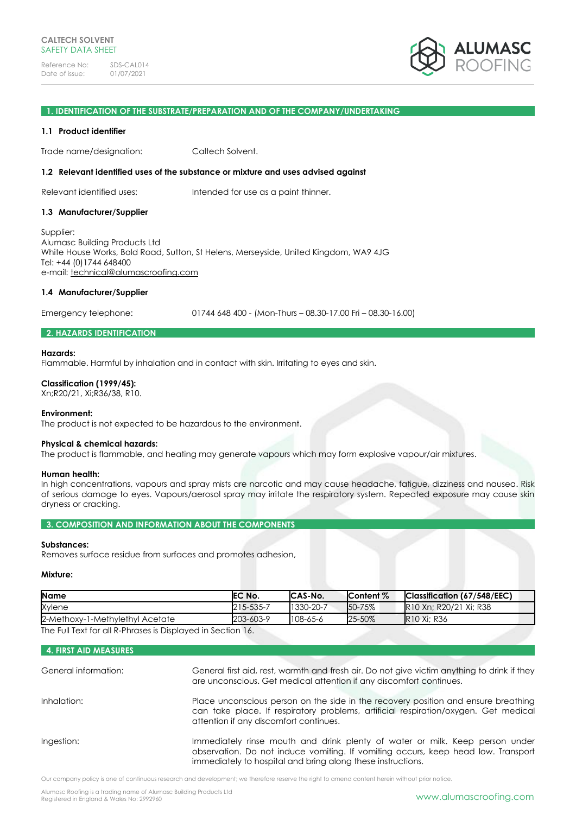

#### **1. IDENTIFICATION OF THE SUBSTRATE/PREPARATION AND OF THE COMPANY/UNDERTAKING**

### **1.1 Product identifier**

Trade name/designation: Caltech Solvent.

### **1.2 Relevant identified uses of the substance or mixture and uses advised against**

Relevant identified uses: Intended for use as a paint thinner.

### **1.3 Manufacturer/Supplier**

Supplier: Alumasc Building Products Ltd White House Works, Bold Road, Sutton, St Helens, Merseyside, United Kingdom, WA9 4JG Tel: +44 (0)1744 648400 e-mail: [technical@alumascroofing.com](mailto:technical@alumascroofing.com)

### **1.4 Manufacturer/Supplier**

Emergency telephone: 01744 648 400 - (Mon-Thurs – 08.30-17.00 Fri – 08.30-16.00)

# **2. HAZARDS IDENTIFICATION**

## **Hazards:**

Flammable. Harmful by inhalation and in contact with skin. Irritating to eyes and skin.

## **Classification (1999/45):**

Xn;R20/21, Xi;R36/38, R10.

### **Environment:**

The product is not expected to be hazardous to the environment.

### **Physical & chemical hazards:**

The product is flammable, and heating may generate vapours which may form explosive vapour/air mixtures.

### **Human health:**

In high concentrations, vapours and spray mists are narcotic and may cause headache, fatigue, dizziness and nausea. Risk of serious damage to eyes. Vapours/aerosol spray may irritate the respiratory system. Repeated exposure may cause skin dryness or cracking.

**3. COMPOSITION AND INFORMATION ABOUT THE COMPONENTS**

## **Substances:**

Removes surface residue from surfaces and promotes adhesion,

#### **Mixture:**

| <b>Name</b>                                                 | EC No.    | CAS-No.   | <b>Content %</b> | Classification (67/548/EEC) |
|-------------------------------------------------------------|-----------|-----------|------------------|-----------------------------|
| Xylene                                                      | 215-535-7 | 1330-20-7 | 50-75%           | R10 Xn: R20/21 Xi: R38      |
| 2-Methoxy-1-Methylethyl Acetate                             | 203-603-9 | 108-65-6  | 25-50%           | <b>R10 Xi: R36</b>          |
| The Full Tout for all D. Dhrosos is Displayed in Cootian 1/ |           |           |                  |                             |

The Full Text for all R-Phrases is Displayed in Section 16.

# **4. FIRST AID MEASURES**

| General information: | General first aid, rest, warmth and fresh air. Do not give victim anything to drink if they<br>are unconscious. Get medical attention if any discomfort continues.                                                               |
|----------------------|----------------------------------------------------------------------------------------------------------------------------------------------------------------------------------------------------------------------------------|
| Inhalation:          | Place unconscious person on the side in the recovery position and ensure breathing<br>can take place. If respiratory problems, artificial respiration/oxygen. Get medical<br>attention if any discomfort continues.              |
| Ingestion:           | Immediately rinse mouth and drink plenty of water or milk. Keep person under<br>observation. Do not induce vomiting. If vomiting occurs, keep head low. Transport<br>immediately to hospital and bring along these instructions. |

Our company policy is one of continuous research and development; we therefore reserve the right to amend content herein without prior notice.

Alumasc Roofing is a trading name of Alumasc Building Products Ltd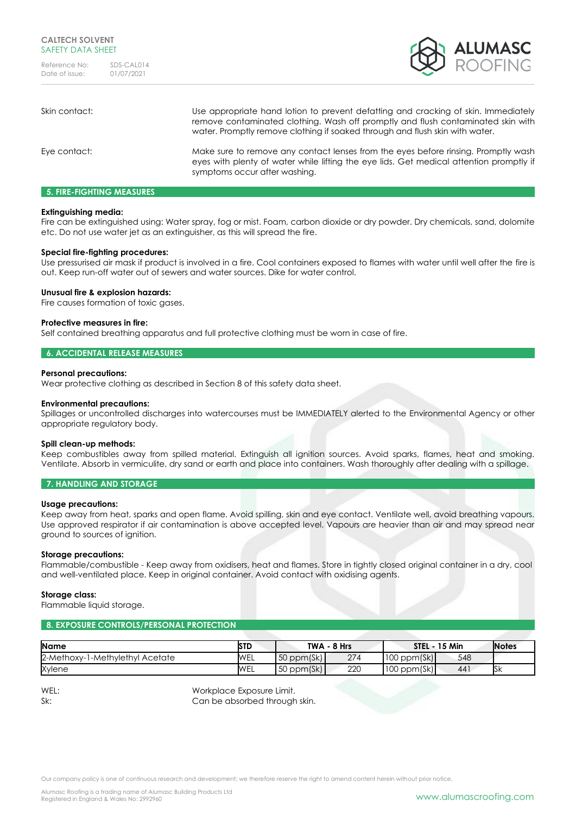

| Skin contact: | Use appropriate hand lotion to prevent defatting and cracking of skin. Immediately<br>remove contaminated clothing. Wash off promptly and flush contaminated skin with<br>water. Promptly remove clothing if soaked through and flush skin with water. |
|---------------|--------------------------------------------------------------------------------------------------------------------------------------------------------------------------------------------------------------------------------------------------------|
| Eye contact:  | Make sure to remove any contact lenses from the eyes before rinsing. Promptly wash<br>eyes with plenty of water while lifting the eye lids. Get medical attention promptly if<br>symptoms occur after washing.                                         |

## **5. FIRE-FIGHTING MEASURES**

## **Extinguishing media:**

Fire can be extinguished using: Water spray, fog or mist. Foam, carbon dioxide or dry powder. Dry chemicals, sand, dolomite etc. Do not use water jet as an extinguisher, as this will spread the fire.

## **Special fire-fighting procedures:**

Use pressurised air mask if product is involved in a fire. Cool containers exposed to flames with water until well after the fire is out. Keep run-off water out of sewers and water sources. Dike for water control.

## **Unusual fire & explosion hazards:**

Fire causes formation of toxic gases.

## **Protective measures in fire:**

Self contained breathing apparatus and full protective clothing must be worn in case of fire.

## **6. ACCIDENTAL RELEASE MEASURES**

### **Personal precautions:**

Wear protective clothing as described in Section 8 of this safety data sheet.

### **Environmental precautions:**

Spillages or uncontrolled discharges into watercourses must be IMMEDIATELY alerted to the Environmental Agency or other appropriate regulatory body.

### **Spill clean-up methods:**

Keep combustibles away from spilled material. Extinguish all ignition sources. Avoid sparks, flames, heat and smoking. Ventilate. Absorb in vermiculite, dry sand or earth and place into containers. Wash thoroughly after dealing with a spillage.

# **7. HANDLING AND STORAGE**

### **Usage precautions:**

Keep away from heat, sparks and open flame. Avoid spilling, skin and eye contact. Ventilate well, avoid breathing vapours. Use approved respirator if air contamination is above accepted level. Vapours are heavier than air and may spread near ground to sources of ignition.

### **Storage precautions:**

Flammable/combustible - Keep away from oxidisers, heat and flames. Store in tightly closed original container in a dry, cool and well-ventilated place. Keep in original container. Avoid contact with oxidising agents.

### **Storage class:**

Flammable liquid storage.

# **8. EXPOSURE CONTROLS/PERSONAL PROTECTION**

| <b>Name</b>                     | STD        |                 | TWA - 8 Hrs |                  | <b>STEL - 15 Min</b> | <b>Notes</b> |
|---------------------------------|------------|-----------------|-------------|------------------|----------------------|--------------|
| 2-Methoxy-1-Methylethyl Acetate | WEL        | $50$ ppm $(Sk)$ | 274         | $100$ ppm(Sk)    | 548                  |              |
| Xylene                          | <b>WEL</b> | $50$ ppm $(Sk)$ | 220         | $100$ ppm $(Sk)$ | 441                  | ŊК           |
|                                 |            |                 |             |                  |                      |              |

WEL: Workplace Exposure Limit.

Sk: Can be absorbed through skin.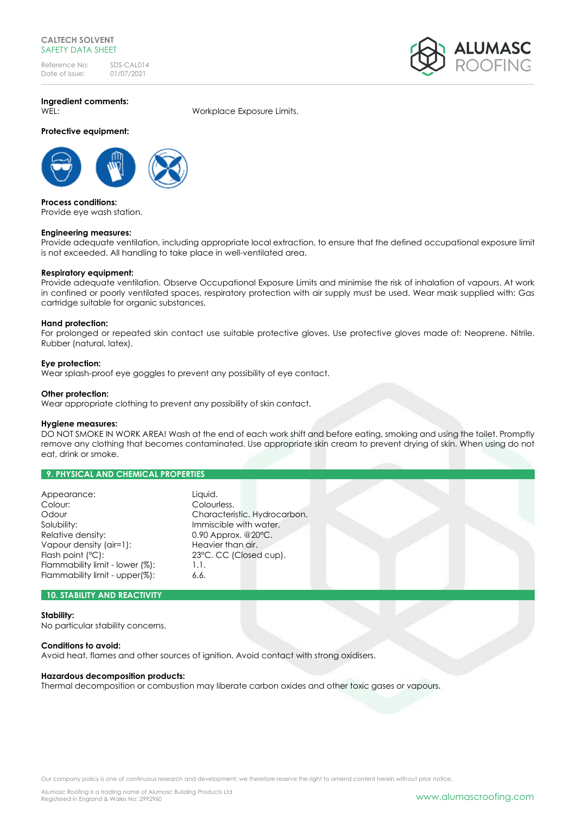# **CALTECH SOLVENT** SAFETY DATA SHEET

Reference No: SDS-CAL014<br>Date of issue: 01/07/2021 Date of issue:



**Ingredient comments:**

**Protective equipment:**

WEL: Workplace Exposure Limits.



**Process conditions:** Provide eye wash station.

# **Engineering measures:**

Provide adequate ventilation, including appropriate local extraction, to ensure that the defined occupational exposure limit is not exceeded. All handling to take place in well-ventilated area.

# **Respiratory equipment:**

Provide adequate ventilation. Observe Occupational Exposure Limits and minimise the risk of inhalation of vapours. At work in confined or poorly ventilated spaces, respiratory protection with air supply must be used. Wear mask supplied with: Gas cartridge suitable for organic substances.

# **Hand protection:**

For prolonged or repeated skin contact use suitable protective gloves. Use protective gloves made of: Neoprene. Nitrile. Rubber (natural, latex).

# **Eye protection:**

Wear splash-proof eye goggles to prevent any possibility of eye contact.

# **Other protection:**

Wear appropriate clothing to prevent any possibility of skin contact.

# **Hygiene measures:**

DO NOT SMOKE IN WORK AREA! Wash at the end of each work shift and before eating, smoking and using the toilet. Promptly remove any clothing that becomes contaminated. Use appropriate skin cream to prevent drying of skin. When using do not eat, drink or smoke.

# **9. PHYSICAL AND CHEMICAL PROPERTIES**

| Appearance:                     | Liquid.                          |
|---------------------------------|----------------------------------|
| Colour:                         | Colourless.                      |
| Odour                           | Characteristic. Hydrocarbon.     |
| Solubility:                     | Immiscible with water.           |
| Relative density:               | $0.90$ Approx. @20 $^{\circ}$ C. |
| Vapour density (air=1):         | Heavier than air.                |
| Flash point (°C):               | 23°C. CC (Closed cup).           |
| Flammability limit - lower (%): | 1.1.                             |
| Flammability limit - upper(%):  | 6.6.                             |

# **10. STABILITY AND REACTIVITY**

**Stability:** No particular stability concerns.

# **Conditions to avoid:**

Avoid heat, flames and other sources of ignition. Avoid contact with strong oxidisers.

# **Hazardous decomposition products:**

Thermal decomposition or combustion may liberate carbon oxides and other toxic gases or vapours.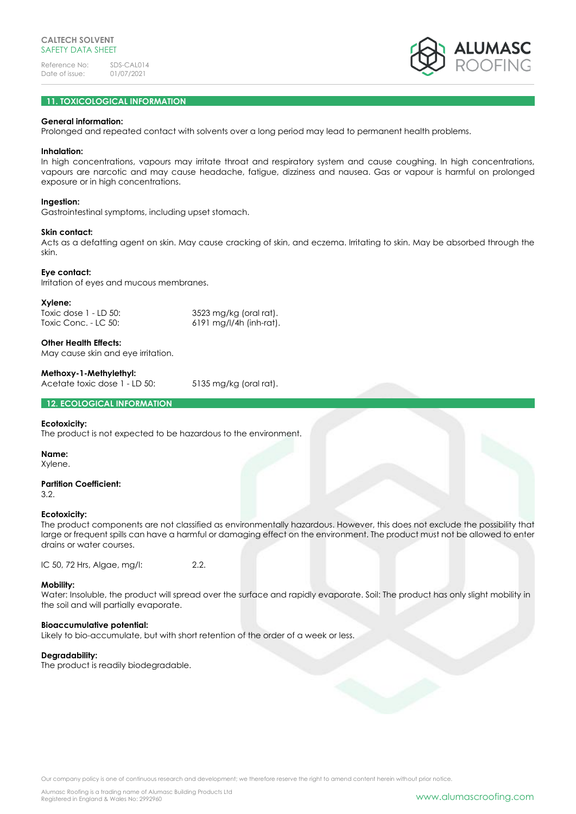

# **11. TOXICOLOGICAL INFORMATION**

## **General information:**

Prolonged and repeated contact with solvents over a long period may lead to permanent health problems.

### **Inhalation:**

In high concentrations, vapours may irritate throat and respiratory system and cause coughing. In high concentrations, vapours are narcotic and may cause headache, fatigue, dizziness and nausea. Gas or vapour is harmful on prolonged exposure or in high concentrations.

## **Ingestion:**

Gastrointestinal symptoms, including upset stomach.

## **Skin contact:**

Acts as a defatting agent on skin. May cause cracking of skin, and eczema. Irritating to skin. May be absorbed through the skin.

### **Eye contact:**

Irritation of eyes and mucous membranes.

### **Xylene:**

Toxic dose 1 - LD 50: 3523 mg/kg (oral rat). Toxic Conc. - LC 50: 6191 mg/l/4h (inh-rat).

**Other Health Effects:** May cause skin and eye irritation.

# **Methoxy-1-Methylethyl:**

Acetate toxic dose 1 - LD 50: 5135 mg/kg (oral rat).

**12. ECOLOGICAL INFORMATION**

# **Ecotoxicity:**

The product is not expected to be hazardous to the environment.

### **Name:**

Xylene.

# **Partition Coefficient:**

3.2.

# **Ecotoxicity:**

The product components are not classified as environmentally hazardous. However, this does not exclude the possibility that large or frequent spills can have a harmful or damaging effect on the environment. The product must not be allowed to enter drains or water courses.

IC 50, 72 Hrs, Algae, mg/l: 2.2.

# **Mobility:**

Water: Insoluble, the product will spread over the surface and rapidly evaporate. Soil: The product has only slight mobility in the soil and will partially evaporate.

### **Bioaccumulative potential:**

Likely to bio-accumulate, but with short retention of the order of a week or less.

# **Degradability:**

The product is readily biodegradable.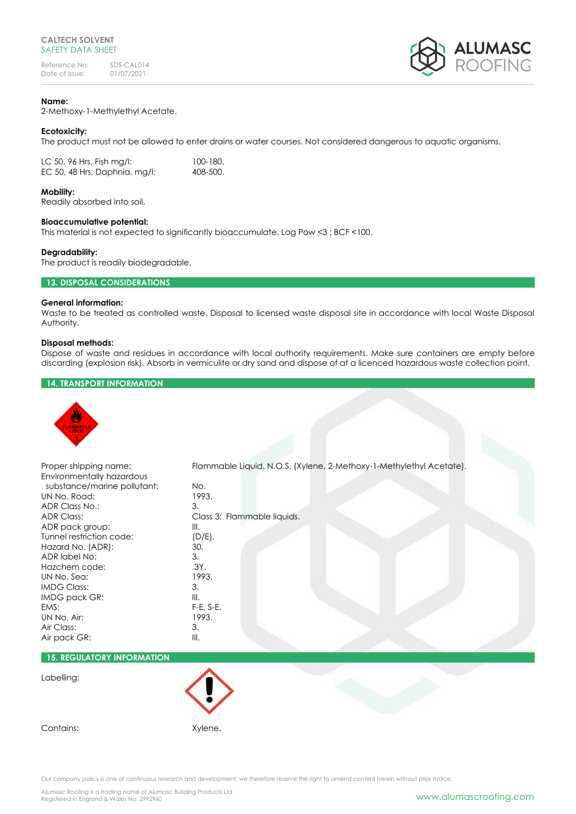

# **Name:**

2-Methoxy-1-Methylethyl Acetate.

## **Ecotoxicity:**

The product must not be allowed to enter drains or water courses. Not considered dangerous to aquatic organisms.

| LC 50, 96 Hrs, Fish mg/l:     | 100-180. |
|-------------------------------|----------|
| EC 50, 48 Hrs, Daphnia, mg/l: | 408-500. |

### **Mobility:**

Readily absorbed into soil.

## **Bioaccumulative potential:**

This material is not expected to significantly bioaccumulate. Log Pow <3 ; BCF <100.

## **Degradability:**

The product is readily biodegradable.

# **13. DISPOSAL CONSIDERATIONS**

# **General information:**

Waste to be treated as controlled waste. Disposal to licensed waste disposal site in accordance with local Waste Disposal Authority.

## **Disposal methods:**

Dispose of waste and residues in accordance with local authority requirements. Make sure containers are empty before discarding (explosion risk). Absorb in vermiculite or dry sand and dispose of at a licenced hazardous waste collection point.

# **14. TRANSPORT INFORMATION**



# **15. REGULATORY INFORMATION**

# Labelling:

Contains: Xylene.